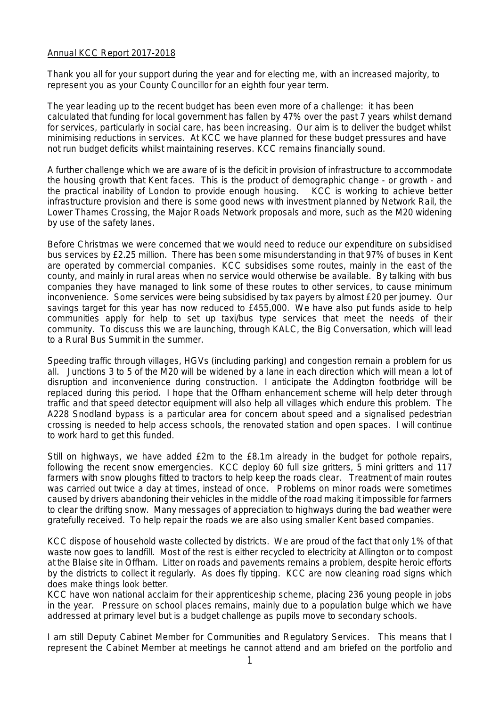## Annual KCC Report 2017-2018

Thank you all for your support during the year and for electing me, with an increased majority, to represent you as your County Councillor for an eighth four year term.

The year leading up to the recent budget has been even more of a challenge: it has been calculated that funding for local government has fallen by 47% over the past 7 years whilst demand for services, particularly in social care, has been increasing. Our aim is to deliver the budget whilst minimising reductions in services. At KCC we have planned for these budget pressures and have not run budget deficits whilst maintaining reserves. KCC remains financially sound.

A further challenge which we are aware of is the deficit in provision of infrastructure to accommodate the housing growth that Kent faces. This is the product of demographic change - or growth - and the practical inability of London to provide enough housing. KCC is working to achieve better infrastructure provision and there is some good news with investment planned by Network Rail, the Lower Thames Crossing, the Major Roads Network proposals and more, such as the M20 widening by use of the safety lanes.

Before Christmas we were concerned that we would need to reduce our expenditure on subsidised bus services by £2.25 million. There has been some misunderstanding in that 97% of buses in Kent are operated by commercial companies. KCC subsidises some routes, mainly in the east of the county, and mainly in rural areas when no service would otherwise be available. By talking with bus companies they have managed to link some of these routes to other services, to cause minimum inconvenience. Some services were being subsidised by tax payers by almost £20 per journey. Our savings target for this year has now reduced to £455,000. We have also put funds aside to help communities apply for help to set up taxi/bus type services that meet the needs of their community. To discuss this we are launching, through KALC, the Big Conversation, which will lead to a Rural Bus Summit in the summer.

Speeding traffic through villages, HGVs (including parking) and congestion remain a problem for us all. Junctions 3 to 5 of the M20 will be widened by a lane in each direction which will mean a lot of disruption and inconvenience during construction. I anticipate the Addington footbridge will be replaced during this period. I hope that the Offham enhancement scheme will help deter through traffic and that speed detector equipment will also help all villages which endure this problem. The A228 Snodland bypass is a particular area for concern about speed and a signalised pedestrian crossing is needed to help access schools, the renovated station and open spaces. I will continue to work hard to get this funded.

Still on highways, we have added £2m to the £8.1m already in the budget for pothole repairs, following the recent snow emergencies. KCC deploy 60 full size gritters, 5 mini gritters and 117 farmers with snow ploughs fitted to tractors to help keep the roads clear. Treatment of main routes was carried out twice a day at times, instead of once. Problems on minor roads were sometimes caused by drivers abandoning their vehicles in the middle of the road making it impossible for farmers to clear the drifting snow. Many messages of appreciation to highways during the bad weather were gratefully received. To help repair the roads we are also using smaller Kent based companies.

KCC dispose of household waste collected by districts. We are proud of the fact that only 1% of that waste now goes to landfill. Most of the rest is either recycled to electricity at Allington or to compost at the Blaise site in Offham. Litter on roads and pavements remains a problem, despite heroic efforts by the districts to collect it regularly. As does fly tipping. KCC are now cleaning road signs which does make things look better.

KCC have won national acclaim for their apprenticeship scheme, placing 236 young people in jobs in the year. Pressure on school places remains, mainly due to a population bulge which we have addressed at primary level but is a budget challenge as pupils move to secondary schools.

I am still Deputy Cabinet Member for Communities and Regulatory Services. This means that I represent the Cabinet Member at meetings he cannot attend and am briefed on the portfolio and